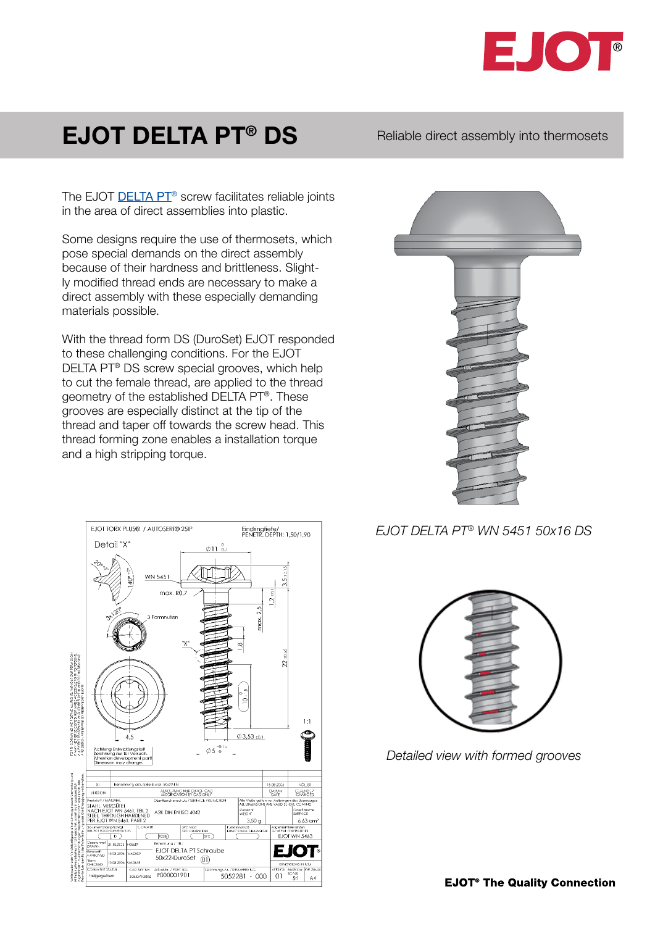

## EJOT DELTA PT<sup>®</sup> DS Reliable direct assembly into thermosets

The EJOT **DELTA PT<sup>®</sup>** screw facilitates reliable joints in the area of direct assemblies into plastic.

Some designs require the use of thermosets, which pose special demands on the direct assembly because of their hardness and brittleness. Slightly modified thread ends are necessary to make a direct assembly with these especially demanding materials possible.

With the thread form DS (DuroSet) EJOT responded to these challenging conditions. For the EJOT DELTA PT® DS screw special grooves, which help to cut the female thread, are applied to the thread geometry of the established DELTA PT®. These grooves are especially distinct at the tip of the thread and taper off towards the screw head. This thread forming zone enables a installation torque and a high stripping torque.

EJOT TORX PLUS® / AUTOSERT® 25IP



## *EJOT DELTA PT® WN 5451 50x16 DS*



Eindringfiefe/<br>PENETR, DEPTH: 1,50/1,90



*Detailed view with formed grooves*